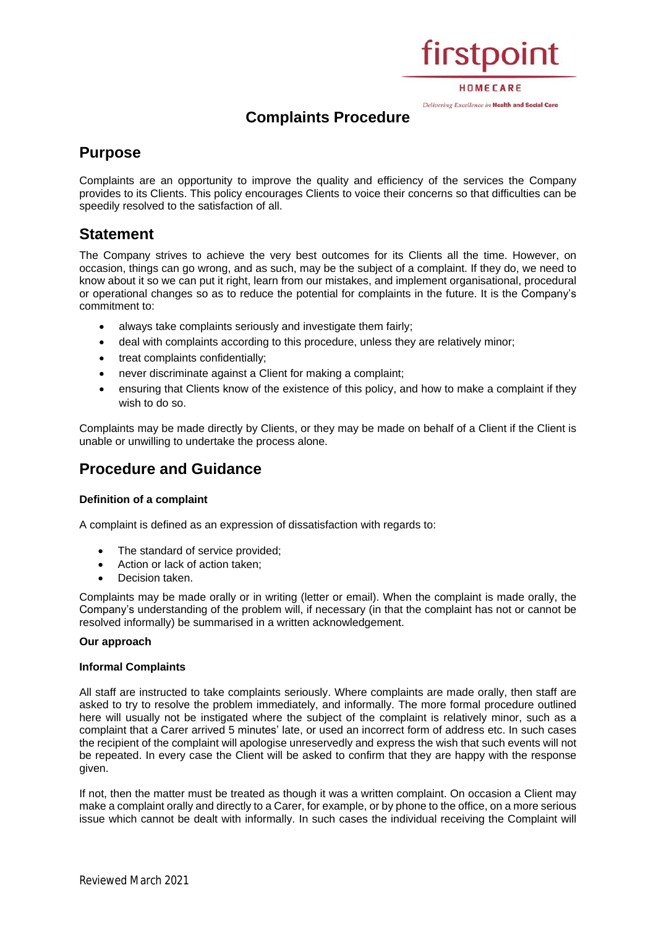# firstpoint

HOMECARE Delivering Excellence in Health and Social Care

# **Complaints Procedure**

# **Purpose**

Complaints are an opportunity to improve the quality and efficiency of the services the Company provides to its Clients. This policy encourages Clients to voice their concerns so that difficulties can be speedily resolved to the satisfaction of all.

# **Statement**

The Company strives to achieve the very best outcomes for its Clients all the time. However, on occasion, things can go wrong, and as such, may be the subject of a complaint. If they do, we need to know about it so we can put it right, learn from our mistakes, and implement organisational, procedural or operational changes so as to reduce the potential for complaints in the future. It is the Company's commitment to:

- always take complaints seriously and investigate them fairly;
- deal with complaints according to this procedure, unless they are relatively minor;
- treat complaints confidentially;
- never discriminate against a Client for making a complaint;
- ensuring that Clients know of the existence of this policy, and how to make a complaint if they wish to do so.

Complaints may be made directly by Clients, or they may be made on behalf of a Client if the Client is unable or unwilling to undertake the process alone.

# **Procedure and Guidance**

# **Definition of a complaint**

A complaint is defined as an expression of dissatisfaction with regards to:

- The standard of service provided;
- Action or lack of action taken;
- Decision taken.

Complaints may be made orally or in writing (letter or email). When the complaint is made orally, the Company's understanding of the problem will, if necessary (in that the complaint has not or cannot be resolved informally) be summarised in a written acknowledgement.

# **Our approach**

# **Informal Complaints**

All staff are instructed to take complaints seriously. Where complaints are made orally, then staff are asked to try to resolve the problem immediately, and informally. The more formal procedure outlined here will usually not be instigated where the subject of the complaint is relatively minor, such as a complaint that a Carer arrived 5 minutes' late, or used an incorrect form of address etc. In such cases the recipient of the complaint will apologise unreservedly and express the wish that such events will not be repeated. In every case the Client will be asked to confirm that they are happy with the response given.

If not, then the matter must be treated as though it was a written complaint. On occasion a Client may make a complaint orally and directly to a Carer, for example, or by phone to the office, on a more serious issue which cannot be dealt with informally. In such cases the individual receiving the Complaint will